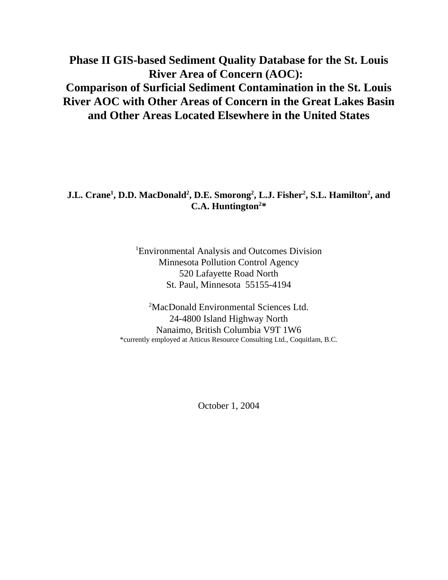# **Phase II GIS-based Sediment Quality Database for the St. Louis River Area of Concern (AOC): Comparison of Surficial Sediment Contamination in the St. Louis River AOC with Other Areas of Concern in the Great Lakes Basin and Other Areas Located Elsewhere in the United States**

#### **J.L. Crane<sup>1</sup> , D.D. MacDonald<sup>2</sup> , D.E. Smorong<sup>2</sup> , L.J. Fisher<sup>2</sup> , S.L. Hamilton<sup>2</sup> , and C.A. Huntington<sup>2</sup> \***

<sup>1</sup>Environmental Analysis and Outcomes Division Minnesota Pollution Control Agency 520 Lafayette Road North St. Paul, Minnesota 55155-4194

<sup>2</sup>MacDonald Environmental Sciences Ltd. 24-4800 Island Highway North Nanaimo, British Columbia V9T 1W6 \*currently employed at Atticus Resource Consulting Ltd., Coquitlam, B.C.

October 1, 2004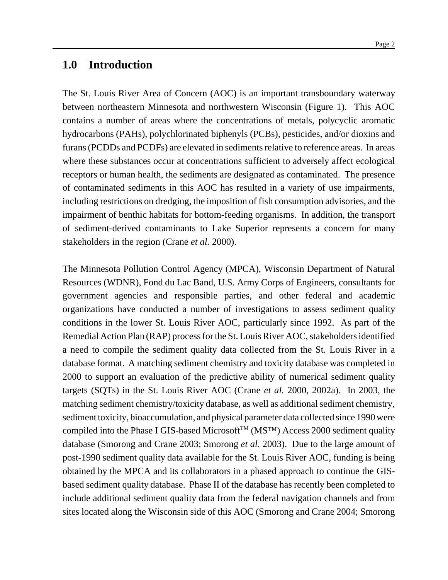### **1.0 Introduction**

The St. Louis River Area of Concern (AOC) is an important transboundary waterway between northeastern Minnesota and northwestern Wisconsin (Figure 1). This AOC contains a number of areas where the concentrations of metals, polycyclic aromatic hydrocarbons (PAHs), polychlorinated biphenyls (PCBs), pesticides, and/or dioxins and furans (PCDDs and PCDFs) are elevated in sediments relative to reference areas. In areas where these substances occur at concentrations sufficient to adversely affect ecological receptors or human health, the sediments are designated as contaminated. The presence of contaminated sediments in this AOC has resulted in a variety of use impairments, including restrictions on dredging, the imposition of fish consumption advisories, and the impairment of benthic habitats for bottom-feeding organisms. In addition, the transport of sediment-derived contaminants to Lake Superior represents a concern for many stakeholders in the region (Crane *et al.* 2000).

The Minnesota Pollution Control Agency (MPCA), Wisconsin Department of Natural Resources (WDNR), Fond du Lac Band, U.S. Army Corps of Engineers, consultants for government agencies and responsible parties, and other federal and academic organizations have conducted a number of investigations to assess sediment quality conditions in the lower St. Louis River AOC, particularly since 1992. As part of the Remedial Action Plan (RAP) process for the St. Louis River AOC, stakeholders identified a need to compile the sediment quality data collected from the St. Louis River in a database format. A matching sediment chemistry and toxicity database was completed in 2000 to support an evaluation of the predictive ability of numerical sediment quality targets (SQTs) in the St. Louis River AOC (Crane *et al.* 2000, 2002a). In 2003, the matching sediment chemistry/toxicity database, as well as additional sediment chemistry, sediment toxicity, bioaccumulation, and physical parameter data collected since 1990 were compiled into the Phase I GIS-based Microsoft<sup>TM</sup> ( $MS<sup>TM</sup>$ ) Access 2000 sediment quality database (Smorong and Crane 2003; Smorong *et al.* 2003). Due to the large amount of post-1990 sediment quality data available for the St. Louis River AOC, funding is being obtained by the MPCA and its collaborators in a phased approach to continue the GISbased sediment quality database. Phase II of the database has recently been completed to include additional sediment quality data from the federal navigation channels and from sites located along the Wisconsin side of this AOC (Smorong and Crane 2004; Smorong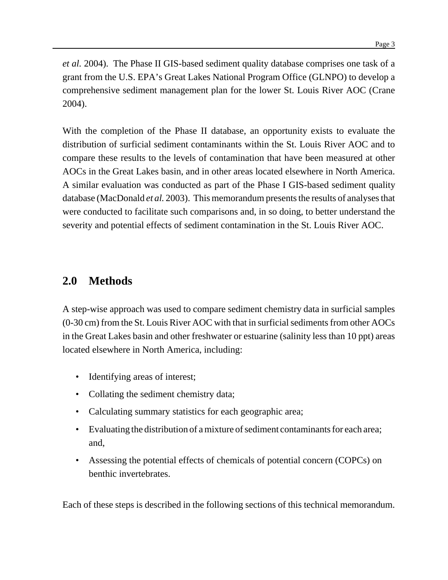*et al.* 2004). The Phase II GIS-based sediment quality database comprises one task of a grant from the U.S. EPA's Great Lakes National Program Office (GLNPO) to develop a comprehensive sediment management plan for the lower St. Louis River AOC (Crane 2004).

With the completion of the Phase II database, an opportunity exists to evaluate the distribution of surficial sediment contaminants within the St. Louis River AOC and to compare these results to the levels of contamination that have been measured at other AOCs in the Great Lakes basin, and in other areas located elsewhere in North America. A similar evaluation was conducted as part of the Phase I GIS-based sediment quality database (MacDonald *et al.* 2003). This memorandum presents the results of analyses that were conducted to facilitate such comparisons and, in so doing, to better understand the severity and potential effects of sediment contamination in the St. Louis River AOC.

# **2.0 Methods**

A step-wise approach was used to compare sediment chemistry data in surficial samples  $(0-30 \text{ cm})$  from the St. Louis River AOC with that in surficial sediments from other AOCs in the Great Lakes basin and other freshwater or estuarine (salinity less than 10 ppt) areas located elsewhere in North America, including:

- Identifying areas of interest;
- Collating the sediment chemistry data;
- Calculating summary statistics for each geographic area;
- Evaluating the distribution of a mixture of sediment contaminants for each area; and,
- Assessing the potential effects of chemicals of potential concern (COPCs) on benthic invertebrates.

Each of these steps is described in the following sections of this technical memorandum.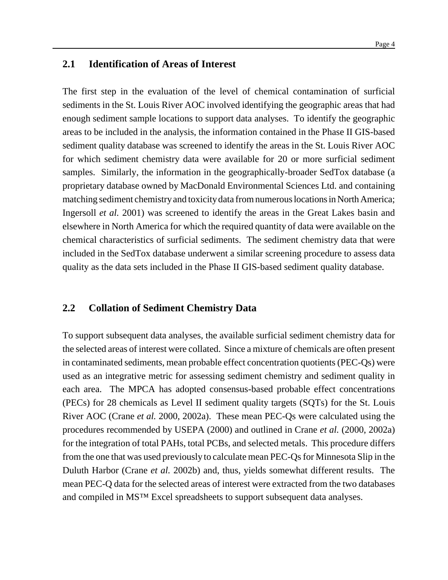#### **2.1 Identification of Areas of Interest**

The first step in the evaluation of the level of chemical contamination of surficial sediments in the St. Louis River AOC involved identifying the geographic areas that had enough sediment sample locations to support data analyses. To identify the geographic areas to be included in the analysis, the information contained in the Phase II GIS-based sediment quality database was screened to identify the areas in the St. Louis River AOC for which sediment chemistry data were available for 20 or more surficial sediment samples. Similarly, the information in the geographically-broader SedTox database (a proprietary database owned by MacDonald Environmental Sciences Ltd. and containing matching sediment chemistry and toxicity data from numerous locations in North America; Ingersoll *et al.* 2001) was screened to identify the areas in the Great Lakes basin and elsewhere in North America for which the required quantity of data were available on the chemical characteristics of surficial sediments. The sediment chemistry data that were included in the SedTox database underwent a similar screening procedure to assess data quality as the data sets included in the Phase II GIS-based sediment quality database.

### **2.2 Collation of Sediment Chemistry Data**

To support subsequent data analyses, the available surficial sediment chemistry data for the selected areas of interest were collated. Since a mixture of chemicals are often present in contaminated sediments, mean probable effect concentration quotients(PEC-Qs) were used as an integrative metric for assessing sediment chemistry and sediment quality in each area. The MPCA has adopted consensus-based probable effect concentrations (PECs) for 28 chemicals as Level II sediment quality targets (SQTs) for the St. Louis River AOC (Crane *et al.* 2000, 2002a). These mean PEC-Qs were calculated using the procedures recommended by USEPA (2000) and outlined in Crane *et al.* (2000, 2002a) for the integration of total PAHs, total PCBs, and selected metals. This procedure differs from the one that was used previously to calculate mean PEC-Qsfor Minnesota Slip in the Duluth Harbor (Crane *et al.* 2002b) and, thus, yields somewhat different results. The mean PEC-Q data for the selected areas of interest were extracted from the two databases and compiled in MS™ Excel spreadsheets to support subsequent data analyses.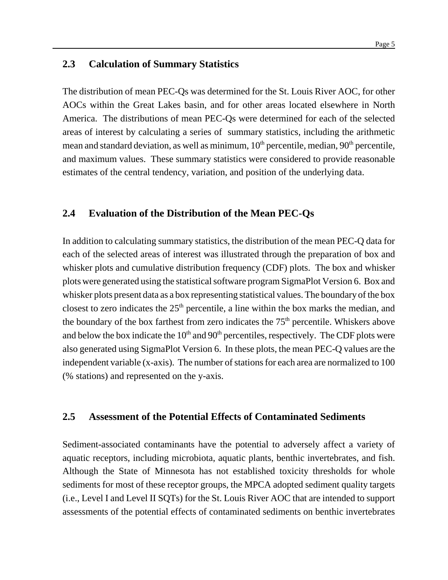#### **2.3 Calculation of Summary Statistics**

The distribution of mean PEC-Qs was determined for the St. Louis River AOC, for other AOCs within the Great Lakes basin, and for other areas located elsewhere in North America. The distributions of mean PEC-Qs were determined for each of the selected areas of interest by calculating a series of summary statistics, including the arithmetic mean and standard deviation, as well as minimum,  $10<sup>th</sup>$  percentile, median,  $90<sup>th</sup>$  percentile, and maximum values. These summary statistics were considered to provide reasonable estimates of the central tendency, variation, and position of the underlying data.

#### **2.4 Evaluation of the Distribution of the Mean PEC-Qs**

In addition to calculating summary statistics, the distribution of the mean PEC-Q data for each of the selected areas of interest was illustrated through the preparation of box and whisker plots and cumulative distribution frequency (CDF) plots. The box and whisker plots were generated using the statistical software program SigmaPlot Version 6. Box and whisker plots present data as a box representing statistical values. The boundary of the box closest to zero indicates the  $25<sup>th</sup>$  percentile, a line within the box marks the median, and the boundary of the box farthest from zero indicates the  $75<sup>th</sup>$  percentile. Whiskers above and below the box indicate the  $10<sup>th</sup>$  and  $90<sup>th</sup>$  percentiles, respectively. The CDF plots were also generated using SigmaPlot Version 6. In these plots, the mean PEC-Q values are the independent variable (x-axis). The number of stations for each area are normalized to 100 (% stations) and represented on the y-axis.

#### **2.5 Assessment of the Potential Effects of Contaminated Sediments**

Sediment-associated contaminants have the potential to adversely affect a variety of aquatic receptors, including microbiota, aquatic plants, benthic invertebrates, and fish. Although the State of Minnesota has not established toxicity thresholds for whole sediments for most of these receptor groups, the MPCA adopted sediment quality targets (i.e., Level I and Level II SQTs) for the St. Louis River AOC that are intended to support assessments of the potential effects of contaminated sediments on benthic invertebrates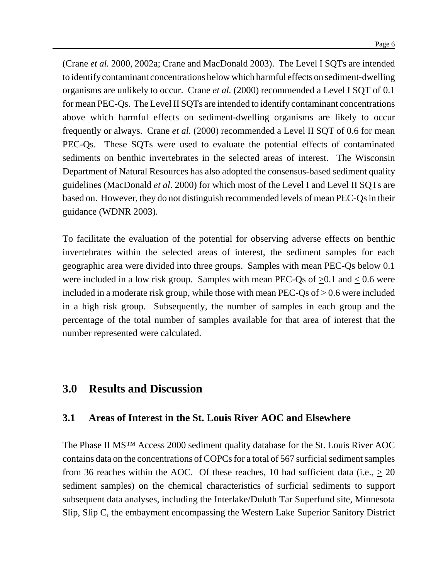(Crane *et al.* 2000, 2002a; Crane and MacDonald 2003). The Level I SQTs are intended to identifycontaminant concentrations below which harmful effects on sediment-dwelling organisms are unlikely to occur. Crane *et al.* (2000) recommended a Level I SQT of 0.1 for mean PEC-Qs. The Level II SQTs are intended to identify contaminant concentrations above which harmful effects on sediment-dwelling organisms are likely to occur frequently or always. Crane *et al.* (2000) recommended a Level II SQT of 0.6 for mean PEC-Qs. These SQTs were used to evaluate the potential effects of contaminated sediments on benthic invertebrates in the selected areas of interest. The Wisconsin Department of Natural Resources has also adopted the consensus-based sediment quality guidelines (MacDonald *et al*. 2000) for which most of the Level I and Level II SQTs are based on. However, they do not distinguish recommended levels of mean PEC-Qs in their guidance (WDNR 2003).

To facilitate the evaluation of the potential for observing adverse effects on benthic invertebrates within the selected areas of interest, the sediment samples for each geographic area were divided into three groups. Samples with mean PEC-Qs below 0.1 were included in a low risk group. Samples with mean PEC-Qs of  $\geq 0.1$  and  $\leq 0.6$  were included in a moderate risk group, while those with mean PEC-Qs of  $> 0.6$  were included in a high risk group. Subsequently, the number of samples in each group and the percentage of the total number of samples available for that area of interest that the number represented were calculated.

## **3.0 Results and Discussion**

#### **3.1 Areas of Interest in the St. Louis River AOC and Elsewhere**

The Phase II MS™ Access 2000 sediment quality database for the St. Louis River AOC contains data on the concentrations of COPCs for a total of 567 surficial sediment samples from 36 reaches within the AOC. Of these reaches, 10 had sufficient data (i.e.,  $> 20$ ) sediment samples) on the chemical characteristics of surficial sediments to support subsequent data analyses, including the Interlake/Duluth Tar Superfund site, Minnesota Slip, Slip C, the embayment encompassing the Western Lake Superior Sanitory District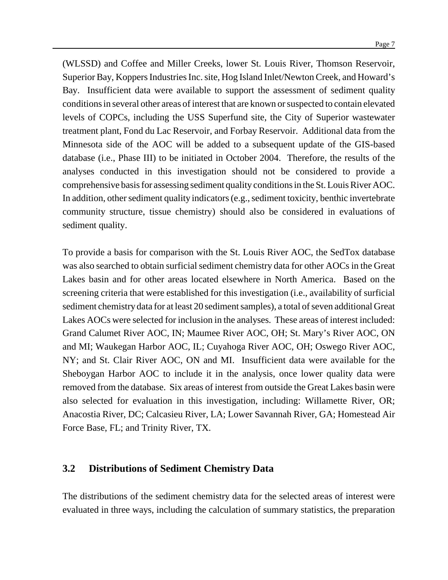(WLSSD) and Coffee and Miller Creeks, lower St. Louis River, Thomson Reservoir, Superior Bay, Koppers Industries Inc. site, Hog Island Inlet/Newton Creek, and Howard's Bay. Insufficient data were available to support the assessment of sediment quality conditions in several other areas of interest that are known or suspected to contain elevated levels of COPCs, including the USS Superfund site, the City of Superior wastewater treatment plant, Fond du Lac Reservoir, and Forbay Reservoir. Additional data from the Minnesota side of the AOC will be added to a subsequent update of the GIS-based database (i.e., Phase III) to be initiated in October 2004. Therefore, the results of the analyses conducted in this investigation should not be considered to provide a comprehensive basis for assessing sediment quality conditions in the St. Louis River AOC. In addition, other sediment quality indicators (e.g., sediment toxicity, benthic invertebrate community structure, tissue chemistry) should also be considered in evaluations of sediment quality.

To provide a basis for comparison with the St. Louis River AOC, the SedTox database was also searched to obtain surficial sediment chemistry data for other AOCs in the Great Lakes basin and for other areas located elsewhere in North America. Based on the screening criteria that were established for this investigation (i.e., availability of surficial sediment chemistry data for at least 20 sediment samples), a total of seven additional Great Lakes AOCs were selected for inclusion in the analyses. These areas of interest included: Grand Calumet River AOC, IN; Maumee River AOC, OH; St. Mary's River AOC, ON and MI; Waukegan Harbor AOC, IL; Cuyahoga River AOC, OH; Oswego River AOC, NY; and St. Clair River AOC, ON and MI. Insufficient data were available for the Sheboygan Harbor AOC to include it in the analysis, once lower quality data were removed from the database. Six areas of interest from outside the Great Lakes basin were also selected for evaluation in this investigation, including: Willamette River, OR; Anacostia River, DC; Calcasieu River, LA; Lower Savannah River, GA; Homestead Air Force Base, FL; and Trinity River, TX.

#### **3.2 Distributions of Sediment Chemistry Data**

The distributions of the sediment chemistry data for the selected areas of interest were evaluated in three ways, including the calculation of summary statistics, the preparation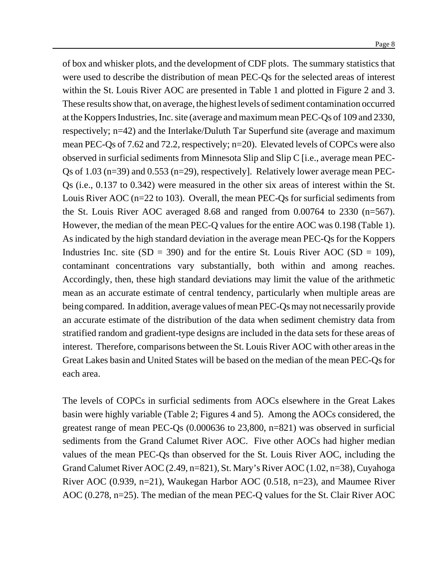of box and whisker plots, and the development of CDF plots. The summary statistics that were used to describe the distribution of mean PEC-Qs for the selected areas of interest within the St. Louis River AOC are presented in Table 1 and plotted in Figure 2 and 3. These results show that, on average, the highest levels of sediment contamination occurred at the Koppers Industries, Inc. site (average and maximum mean PEC-Qs of 109 and 2330, respectively; n=42) and the Interlake/Duluth Tar Superfund site (average and maximum mean PEC-Qs of 7.62 and 72.2, respectively; n=20). Elevated levels of COPCs were also observed in surficial sediments from Minnesota Slip and Slip C [i.e., average mean PEC-Qs of 1.03 (n=39) and 0.553 (n=29), respectively]. Relatively lower average mean PEC-Qs (i.e., 0.137 to 0.342) were measured in the other six areas of interest within the St. Louis River AOC (n=22 to 103). Overall, the mean PEC-Qs for surficial sediments from the St. Louis River AOC averaged 8.68 and ranged from 0.00764 to 2330 (n=567). However, the median of the mean PEC-Q values for the entire AOC was 0.198 (Table 1). As indicated by the high standard deviation in the average mean PEC-Qs for the Koppers Industries Inc. site  $(SD = 390)$  and for the entire St. Louis River AOC  $(SD = 109)$ , contaminant concentrations vary substantially, both within and among reaches. Accordingly, then, these high standard deviations may limit the value of the arithmetic mean as an accurate estimate of central tendency, particularly when multiple areas are being compared. In addition, average values of mean PEC-Qs may not necessarily provide an accurate estimate of the distribution of the data when sediment chemistry data from stratified random and gradient-type designs are included in the data sets for these areas of interest. Therefore, comparisons between the St. Louis River AOC with other areas in the Great Lakes basin and United States will be based on the median of the mean PEC-Qsfor each area.

The levels of COPCs in surficial sediments from AOCs elsewhere in the Great Lakes basin were highly variable (Table 2; Figures 4 and 5). Among the AOCs considered, the greatest range of mean PEC-Qs (0.000636 to 23,800, n=821) was observed in surficial sediments from the Grand Calumet River AOC. Five other AOCs had higher median values of the mean PEC-Qs than observed for the St. Louis River AOC, including the Grand Calumet River AOC (2.49, n=821), St. Mary's River AOC (1.02, n=38), Cuyahoga River AOC (0.939, n=21), Waukegan Harbor AOC (0.518, n=23), and Maumee River AOC (0.278, n=25). The median of the mean PEC-Q values for the St. Clair River AOC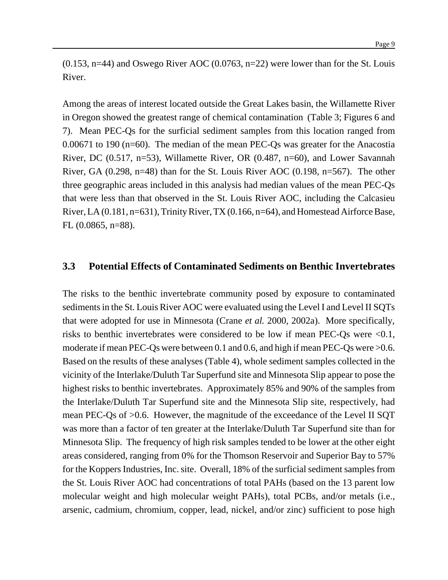$(0.153, n=44)$  and Oswego River AOC  $(0.0763, n=22)$  were lower than for the St. Louis River.

Among the areas of interest located outside the Great Lakes basin, the Willamette River in Oregon showed the greatest range of chemical contamination (Table 3; Figures 6 and 7). Mean PEC-Qs for the surficial sediment samples from this location ranged from 0.00671 to 190 (n=60). The median of the mean PEC-Qs was greater for the Anacostia River, DC (0.517, n=53), Willamette River, OR (0.487, n=60), and Lower Savannah River, GA  $(0.298, n=48)$  than for the St. Louis River AOC  $(0.198, n=567)$ . The other three geographic areas included in this analysis had median values of the mean PEC-Qs that were less than that observed in the St. Louis River AOC, including the Calcasieu River,LA (0.181, n=631), Trinity River, TX (0.166, n=64), and Homestead Airforce Base, FL (0.0865, n=88).

#### **3.3 Potential Effects of Contaminated Sediments on Benthic Invertebrates**

The risks to the benthic invertebrate community posed by exposure to contaminated sediments in the St. Louis River AOC were evaluated using the Level I and Level II SQTs that were adopted for use in Minnesota (Crane *et al.* 2000, 2002a). More specifically, risks to benthic invertebrates were considered to be low if mean PEC-Qs were <0.1, moderate if mean PEC-Qs were between 0.1 and 0.6, and high if mean PEC-Qs were  $>0.6$ . Based on the results of these analyses (Table 4), whole sediment samples collected in the vicinity of the Interlake/Duluth Tar Superfund site and Minnesota Slip appear to pose the highest risks to benthic invertebrates. Approximately 85% and 90% of the samples from the Interlake/Duluth Tar Superfund site and the Minnesota Slip site, respectively, had mean PEC-Qs of >0.6. However, the magnitude of the exceedance of the Level II SQT was more than a factor of ten greater at the Interlake/Duluth Tar Superfund site than for Minnesota Slip. The frequency of high risk samples tended to be lower at the other eight areas considered, ranging from 0% for the Thomson Reservoir and Superior Bay to 57% for the Koppers Industries, Inc. site. Overall, 18% of the surficial sediment samples from the St. Louis River AOC had concentrations of total PAHs (based on the 13 parent low molecular weight and high molecular weight PAHs), total PCBs, and/or metals (i.e., arsenic, cadmium, chromium, copper, lead, nickel, and/or zinc) sufficient to pose high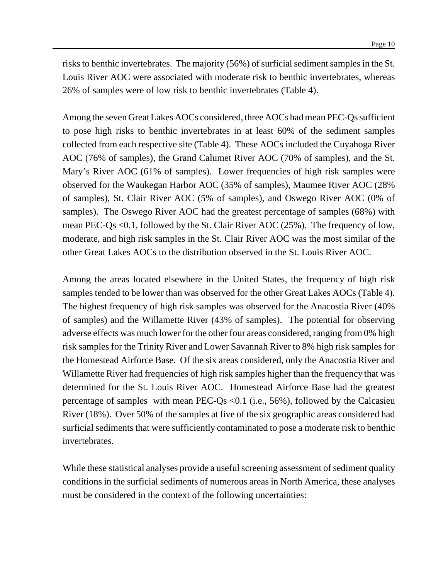risksto benthic invertebrates. The majority (56%) of surficial sediment samples in the St. Louis River AOC were associated with moderate risk to benthic invertebrates, whereas 26% of samples were of low risk to benthic invertebrates (Table 4).

Among the seven GreatLakes AOCs considered, three AOCs had mean PEC-Qs sufficient to pose high risks to benthic invertebrates in at least 60% of the sediment samples collected from each respective site (Table 4). These AOCs included the Cuyahoga River AOC (76% of samples), the Grand Calumet River AOC (70% of samples), and the St. Mary's River AOC (61% of samples). Lower frequencies of high risk samples were observed for the Waukegan Harbor AOC (35% of samples), Maumee River AOC (28% of samples), St. Clair River AOC (5% of samples), and Oswego River AOC (0% of samples). The Oswego River AOC had the greatest percentage of samples (68%) with mean PEC-Qs <0.1, followed by the St. Clair River AOC (25%). The frequency of low, moderate, and high risk samples in the St. Clair River AOC was the most similar of the other Great Lakes AOCs to the distribution observed in the St. Louis River AOC.

Among the areas located elsewhere in the United States, the frequency of high risk samples tended to be lower than was observed for the other Great Lakes AOCs (Table 4). The highest frequency of high risk samples was observed for the Anacostia River (40% of samples) and the Willamette River (43% of samples). The potential for observing adverse effects was much lower for the other four areas considered, ranging from 0% high risk samples for the Trinity River and Lower Savannah River to 8% high risk samples for the Homestead Airforce Base. Of the six areas considered, only the Anacostia River and Willamette River had frequencies of high risk samples higher than the frequency that was determined for the St. Louis River AOC. Homestead Airforce Base had the greatest percentage of samples with mean PEC-Qs  $\langle 0.1 \rangle$  (i.e., 56%), followed by the Calcasieu River (18%). Over 50% of the samples at five of the six geographic areas considered had surficial sediments that were sufficiently contaminated to pose a moderate risk to benthic invertebrates.

While these statistical analyses provide a useful screening assessment of sediment quality conditions in the surficial sediments of numerous areas in North America, these analyses must be considered in the context of the following uncertainties: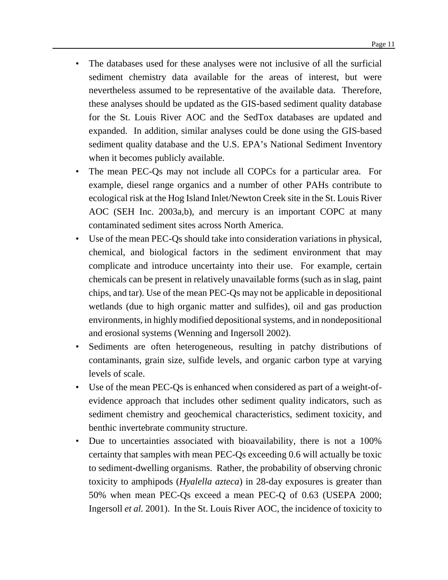- The databases used for these analyses were not inclusive of all the surficial sediment chemistry data available for the areas of interest, but were nevertheless assumed to be representative of the available data. Therefore, these analyses should be updated as the GIS-based sediment quality database for the St. Louis River AOC and the SedTox databases are updated and expanded. In addition, similar analyses could be done using the GIS-based sediment quality database and the U.S. EPA's National Sediment Inventory when it becomes publicly available.
- The mean PEC-Qs may not include all COPCs for a particular area. For example, diesel range organics and a number of other PAHs contribute to ecological risk at the Hog Island Inlet/Newton Creek site in the St. Louis River AOC (SEH Inc. 2003a,b), and mercury is an important COPC at many contaminated sediment sites across North America.
- Use of the mean PEC-Qs should take into consideration variations in physical, chemical, and biological factors in the sediment environment that may complicate and introduce uncertainty into their use. For example, certain chemicals can be present in relatively unavailable forms (such as in slag, paint chips, and tar). Use of the mean PEC-Qs may not be applicable in depositional wetlands (due to high organic matter and sulfides), oil and gas production environments, in highly modified depositional systems, and in nondepositional and erosional systems (Wenning and Ingersoll 2002).
- Sediments are often heterogeneous, resulting in patchy distributions of contaminants, grain size, sulfide levels, and organic carbon type at varying levels of scale.
- Use of the mean PEC-Qs is enhanced when considered as part of a weight-ofevidence approach that includes other sediment quality indicators, such as sediment chemistry and geochemical characteristics, sediment toxicity, and benthic invertebrate community structure.
- Due to uncertainties associated with bioavailability, there is not a 100% certainty that samples with mean PEC-Qs exceeding 0.6 will actually be toxic to sediment-dwelling organisms. Rather, the probability of observing chronic toxicity to amphipods (*Hyalella azteca*) in 28-day exposures is greater than 50% when mean PEC-Qs exceed a mean PEC-Q of 0.63 (USEPA 2000; Ingersoll *et al.* 2001). In the St. Louis River AOC, the incidence of toxicity to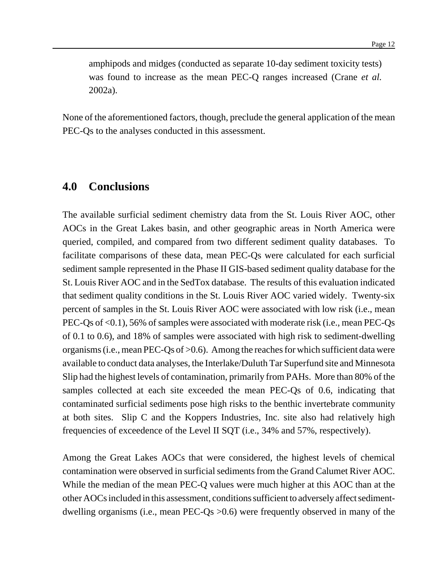amphipods and midges (conducted as separate 10-day sediment toxicity tests) was found to increase as the mean PEC-Q ranges increased (Crane *et al.* 2002a).

None of the aforementioned factors, though, preclude the general application of the mean PEC-Qs to the analyses conducted in this assessment.

## **4.0 Conclusions**

The available surficial sediment chemistry data from the St. Louis River AOC, other AOCs in the Great Lakes basin, and other geographic areas in North America were queried, compiled, and compared from two different sediment quality databases. To facilitate comparisons of these data, mean PEC-Qs were calculated for each surficial sediment sample represented in the Phase II GIS-based sediment quality database for the St. Louis River AOC and in the SedTox database. The results of this evaluation indicated that sediment quality conditions in the St. Louis River AOC varied widely. Twenty-six percent of samples in the St. Louis River AOC were associated with low risk (i.e., mean PEC-Qs of <0.1), 56% of samples were associated with moderate risk (i.e., mean PEC-Qs of 0.1 to 0.6), and 18% of samples were associated with high risk to sediment-dwelling organisms (i.e., mean PEC-Qs of  $>0.6$ ). Among the reaches for which sufficient data were available to conduct data analyses, the Interlake/Duluth Tar Superfund site and Minnesota Slip had the highest levels of contamination, primarily from PAHs. More than 80% of the samples collected at each site exceeded the mean PEC-Qs of 0.6, indicating that contaminated surficial sediments pose high risks to the benthic invertebrate community at both sites. Slip C and the Koppers Industries, Inc. site also had relatively high frequencies of exceedence of the Level II SQT (i.e., 34% and 57%, respectively).

Among the Great Lakes AOCs that were considered, the highest levels of chemical contamination were observed in surficial sediments from the Grand Calumet River AOC. While the median of the mean PEC-Q values were much higher at this AOC than at the other AOCsincluded in this assessment, conditions sufficient to adversely affect sedimentdwelling organisms (i.e., mean PEC-Qs >0.6) were frequently observed in many of the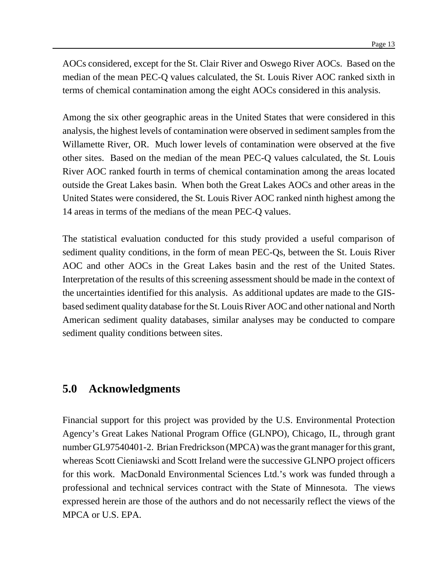AOCs considered, except for the St. Clair River and Oswego River AOCs. Based on the median of the mean PEC-Q values calculated, the St. Louis River AOC ranked sixth in terms of chemical contamination among the eight AOCs considered in this analysis.

Among the six other geographic areas in the United States that were considered in this analysis, the highest levels of contamination were observed in sedimentsamplesfrom the Willamette River, OR. Much lower levels of contamination were observed at the five other sites. Based on the median of the mean PEC-Q values calculated, the St. Louis River AOC ranked fourth in terms of chemical contamination among the areas located outside the Great Lakes basin. When both the Great Lakes AOCs and other areas in the United States were considered, the St. Louis River AOC ranked ninth highest among the 14 areas in terms of the medians of the mean PEC-Q values.

The statistical evaluation conducted for this study provided a useful comparison of sediment quality conditions, in the form of mean PEC-Qs, between the St. Louis River AOC and other AOCs in the Great Lakes basin and the rest of the United States. Interpretation of the results of this screening assessment should be made in the context of the uncertainties identified for this analysis. As additional updates are made to the GISbased sediment quality database for the St. Louis River AOC and other national and North American sediment quality databases, similar analyses may be conducted to compare sediment quality conditions between sites.

## **5.0 Acknowledgments**

Financial support for this project was provided by the U.S. Environmental Protection Agency's Great Lakes National Program Office (GLNPO), Chicago, IL, through grant number GL97540401-2. Brian Fredrickson (MPCA) was the grant manager for this grant, whereas Scott Cieniawski and Scott Ireland were the successive GLNPO project officers for this work. MacDonald Environmental Sciences Ltd.'s work was funded through a professional and technical services contract with the State of Minnesota. The views expressed herein are those of the authors and do not necessarily reflect the views of the MPCA or U.S. EPA.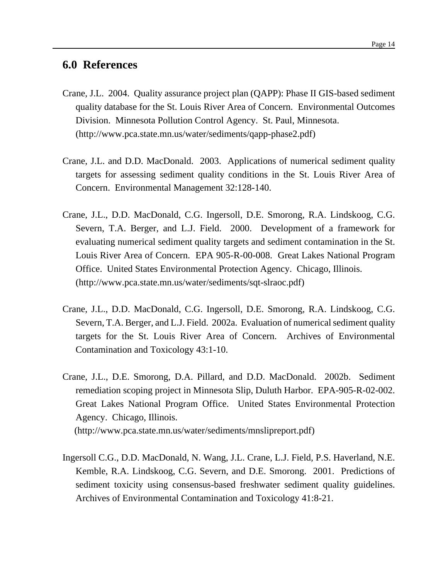## **6.0 References**

- Crane, J.L. 2004. Quality assurance project plan (QAPP): Phase II GIS-based sediment quality database for the St. Louis River Area of Concern. Environmental Outcomes Division. Minnesota Pollution Control Agency. St. Paul, Minnesota. (http://www.pca.state.mn.us/water/sediments/qapp-phase2.pdf)
- Crane, J.L. and D.D. MacDonald. 2003. Applications of numerical sediment quality targets for assessing sediment quality conditions in the St. Louis River Area of Concern. Environmental Management 32:128-140.
- Crane, J.L., D.D. MacDonald, C.G. Ingersoll, D.E. Smorong, R.A. Lindskoog, C.G. Severn, T.A. Berger, and L.J. Field. 2000. Development of a framework for evaluating numerical sediment quality targets and sediment contamination in the St. Louis River Area of Concern. EPA 905-R-00-008. Great Lakes National Program Office. United States Environmental Protection Agency. Chicago, Illinois. (http://www.pca.state.mn.us/water/sediments/sqt-slraoc.pdf)
- Crane, J.L., D.D. MacDonald, C.G. Ingersoll, D.E. Smorong, R.A. Lindskoog, C.G. Severn, T.A. Berger, and L.J. Field. 2002a. Evaluation of numerical sediment quality targets for the St. Louis River Area of Concern. Archives of Environmental Contamination and Toxicology 43:1-10.
- Crane, J.L., D.E. Smorong, D.A. Pillard, and D.D. MacDonald. 2002b. Sediment remediation scoping project in Minnesota Slip, Duluth Harbor. EPA-905-R-02-002. Great Lakes National Program Office. United States Environmental Protection Agency. Chicago, Illinois.

(http://www.pca.state.mn.us/water/sediments/mnslipreport.pdf)

Ingersoll C.G., D.D. MacDonald, N. Wang, J.L. Crane, L.J. Field, P.S. Haverland, N.E. Kemble, R.A. Lindskoog, C.G. Severn, and D.E. Smorong. 2001. Predictions of sediment toxicity using consensus-based freshwater sediment quality guidelines. Archives of Environmental Contamination and Toxicology 41:8-21.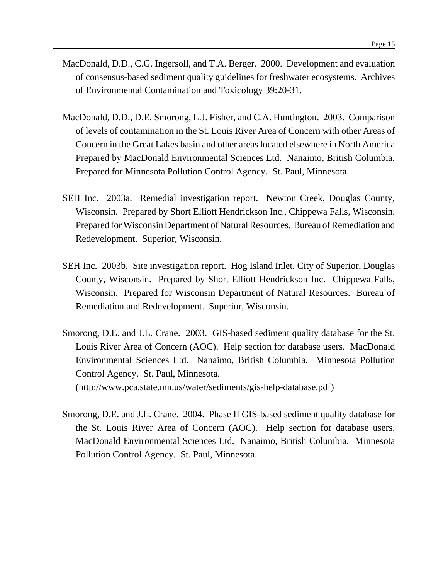- MacDonald, D.D., C.G. Ingersoll, and T.A. Berger. 2000. Development and evaluation of consensus-based sediment quality guidelines for freshwater ecosystems. Archives of Environmental Contamination and Toxicology 39:20-31.
- MacDonald, D.D., D.E. Smorong, L.J. Fisher, and C.A. Huntington. 2003. Comparison of levels of contamination in the St. Louis River Area of Concern with other Areas of Concern in the Great Lakes basin and other areas located elsewhere in North America Prepared by MacDonald Environmental Sciences Ltd. Nanaimo, British Columbia. Prepared for Minnesota Pollution Control Agency. St. Paul, Minnesota.
- SEH Inc. 2003a. Remedial investigation report. Newton Creek, Douglas County, Wisconsin. Prepared by Short Elliott Hendrickson Inc., Chippewa Falls, Wisconsin. Prepared for Wisconsin Department of Natural Resources. Bureau of Remediation and Redevelopment. Superior, Wisconsin.
- SEH Inc. 2003b. Site investigation report. Hog Island Inlet, City of Superior, Douglas County, Wisconsin. Prepared by Short Elliott Hendrickson Inc. Chippewa Falls, Wisconsin. Prepared for Wisconsin Department of Natural Resources. Bureau of Remediation and Redevelopment. Superior, Wisconsin.
- Smorong, D.E. and J.L. Crane. 2003. GIS-based sediment quality database for the St. Louis River Area of Concern (AOC). Help section for database users. MacDonald Environmental Sciences Ltd. Nanaimo, British Columbia. Minnesota Pollution Control Agency. St. Paul, Minnesota. (http://www.pca.state.mn.us/water/sediments/gis-help-database.pdf)
- Smorong, D.E. and J.L. Crane. 2004. Phase II GIS-based sediment quality database for the St. Louis River Area of Concern (AOC). Help section for database users. MacDonald Environmental Sciences Ltd. Nanaimo, British Columbia. Minnesota Pollution Control Agency. St. Paul, Minnesota.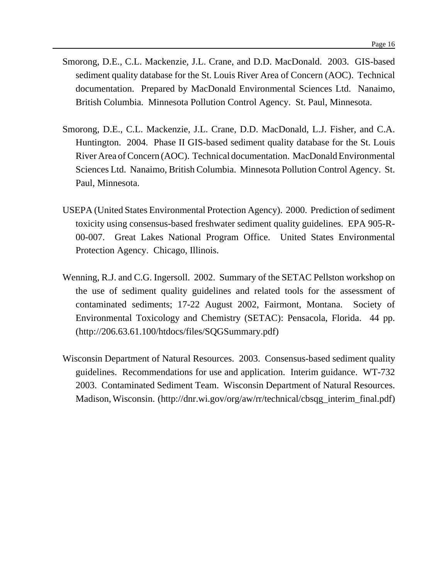- Smorong, D.E., C.L. Mackenzie, J.L. Crane, and D.D. MacDonald. 2003. GIS-based sediment quality database for the St. Louis River Area of Concern (AOC). Technical documentation. Prepared by MacDonald Environmental Sciences Ltd. Nanaimo, British Columbia. Minnesota Pollution Control Agency. St. Paul, Minnesota.
- Smorong, D.E., C.L. Mackenzie, J.L. Crane, D.D. MacDonald, L.J. Fisher, and C.A. Huntington. 2004. Phase II GIS-based sediment quality database for the St. Louis River Area ofConcern (AOC). Technical documentation. MacDonald Environmental Sciences Ltd. Nanaimo, British Columbia. Minnesota Pollution Control Agency. St. Paul, Minnesota.
- USEPA (United States Environmental Protection Agency). 2000. Prediction of sediment toxicity using consensus-based freshwater sediment quality guidelines. EPA 905-R-00-007. Great Lakes National Program Office. United States Environmental Protection Agency. Chicago, Illinois.
- Wenning, R.J. and C.G. Ingersoll. 2002. Summary of the SETAC Pellston workshop on the use of sediment quality guidelines and related tools for the assessment of contaminated sediments; 17-22 August 2002, Fairmont, Montana. Society of Environmental Toxicology and Chemistry (SETAC): Pensacola, Florida. 44 pp. (http://206.63.61.100/htdocs/files/SQGSummary.pdf)
- Wisconsin Department of Natural Resources. 2003. Consensus-based sediment quality guidelines. Recommendations for use and application. Interim guidance. WT-732 2003. Contaminated Sediment Team. Wisconsin Department of Natural Resources. Madison,Wisconsin. (http://dnr.wi.gov/org/aw/rr/technical/cbsqg\_interim\_final.pdf)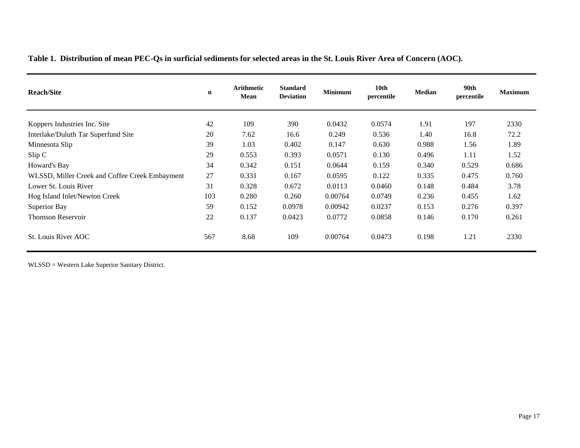**Table 1. Distribution of mean PEC-Qs in surficial sediments for selected areas in the St. Louis River Area of Concern (AOC).**

| <b>Reach/Site</b>                              | $\mathbf n$ | <b>Arithmetic</b><br>Mean | <b>Standard</b><br><b>Deviation</b> | <b>Minimum</b> | 10 <sub>th</sub><br>percentile | <b>Median</b> | 90th<br>percentile | <b>Maximum</b> |
|------------------------------------------------|-------------|---------------------------|-------------------------------------|----------------|--------------------------------|---------------|--------------------|----------------|
| Koppers Industries Inc. Site                   | 42          | 109                       | 390                                 | 0.0432         | 0.0574                         | 1.91          | 197                | 2330           |
| Interlake/Duluth Tar Superfund Site            | 20          | 7.62                      | 16.6                                | 0.249          | 0.536                          | 1.40          | 16.8               | 72.2           |
| Minnesota Slip                                 | 39          | 1.03                      | 0.402                               | 0.147          | 0.630                          | 0.988         | 1.56               | 1.89           |
| Slip C                                         | 29          | 0.553                     | 0.393                               | 0.0571         | 0.130                          | 0.496         | 1.11               | 1.52           |
| Howard's Bay                                   | 34          | 0.342                     | 0.151                               | 0.0644         | 0.159                          | 0.340         | 0.529              | 0.686          |
| WLSSD, Miller Creek and Coffee Creek Embayment | 27          | 0.331                     | 0.167                               | 0.0595         | 0.122                          | 0.335         | 0.475              | 0.760          |
| Lower St. Louis River                          | 31          | 0.328                     | 0.672                               | 0.0113         | 0.0460                         | 0.148         | 0.484              | 3.78           |
| Hog Island Inlet/Newton Creek                  | 103         | 0.280                     | 0.260                               | 0.00764        | 0.0749                         | 0.236         | 0.455              | 1.62           |
| Superior Bay                                   | 59          | 0.152                     | 0.0978                              | 0.00942        | 0.0237                         | 0.153         | 0.276              | 0.397          |
| <b>Thomson Reservoir</b>                       | 22          | 0.137                     | 0.0423                              | 0.0772         | 0.0858                         | 0.146         | 0.170              | 0.261          |
| St. Louis River AOC                            | 567         | 8.68                      | 109                                 | 0.00764        | 0.0473                         | 0.198         | 1.21               | 2330           |

WLSSD = Western Lake Superior Sanitary District.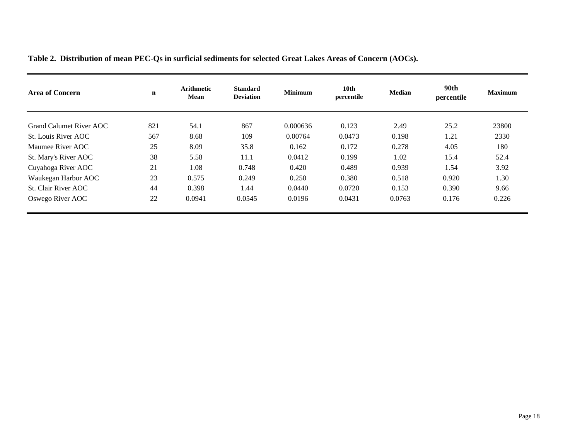| <b>Area of Concern</b>  | $\mathbf n$ | <b>Arithmetic</b><br>Mean | <b>Standard</b><br><b>Deviation</b> | <b>Minimum</b> | 10 <sub>th</sub><br>percentile | <b>Median</b> | 90th<br>percentile | <b>Maximum</b> |
|-------------------------|-------------|---------------------------|-------------------------------------|----------------|--------------------------------|---------------|--------------------|----------------|
| Grand Calumet River AOC | 821         | 54.1                      | 867                                 | 0.000636       | 0.123                          | 2.49          | 25.2               | 23800          |
| St. Louis River AOC     | 567         | 8.68                      | 109                                 | 0.00764        | 0.0473                         | 0.198         | 1.21               | 2330           |
| Maumee River AOC        | 25          | 8.09                      | 35.8                                | 0.162          | 0.172                          | 0.278         | 4.05               | 180            |
| St. Mary's River AOC    | 38          | 5.58                      | 11.1                                | 0.0412         | 0.199                          | 1.02          | 15.4               | 52.4           |
| Cuyahoga River AOC      | 21          | 1.08                      | 0.748                               | 0.420          | 0.489                          | 0.939         | 1.54               | 3.92           |
| Waukegan Harbor AOC     | 23          | 0.575                     | 0.249                               | 0.250          | 0.380                          | 0.518         | 0.920              | 1.30           |
| St. Clair River AOC     | 44          | 0.398                     | 1.44                                | 0.0440         | 0.0720                         | 0.153         | 0.390              | 9.66           |
| Oswego River AOC        | 22          | 0.0941                    | 0.0545                              | 0.0196         | 0.0431                         | 0.0763        | 0.176              | 0.226          |

**Table 2. Distribution of mean PEC-Qs in surficial sediments for selected Great Lakes Areas of Concern (AOCs).**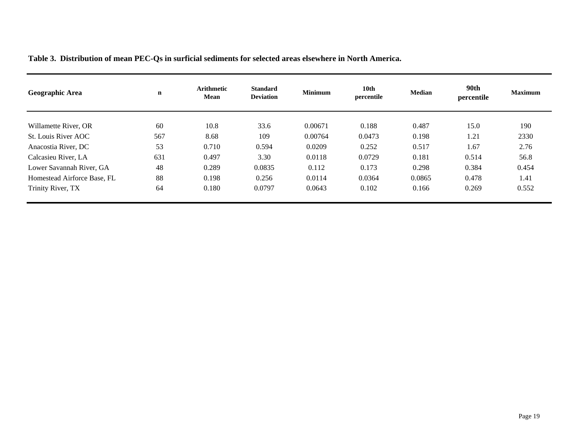| Table 3. Distribution of mean PEC-Qs in surficial sediments for selected areas elsewhere in North America. |  |
|------------------------------------------------------------------------------------------------------------|--|
|------------------------------------------------------------------------------------------------------------|--|

| Geographic Area             | n   | <b>Arithmetic</b><br><b>Mean</b> | <b>Standard</b><br><b>Deviation</b> | <b>Minimum</b> | 10th<br>percentile | <b>Median</b> | 90th<br>percentile | <b>Maximum</b> |
|-----------------------------|-----|----------------------------------|-------------------------------------|----------------|--------------------|---------------|--------------------|----------------|
| Willamette River, OR        | 60  | 10.8                             | 33.6                                | 0.00671        | 0.188              | 0.487         | 15.0               | 190            |
| St. Louis River AOC         | 567 | 8.68                             | 109                                 | 0.00764        | 0.0473             | 0.198         | 1.21               | 2330           |
| Anacostia River, DC         | 53  | 0.710                            | 0.594                               | 0.0209         | 0.252              | 0.517         | 1.67               | 2.76           |
| Calcasieu River, LA         | 631 | 0.497                            | 3.30                                | 0.0118         | 0.0729             | 0.181         | 0.514              | 56.8           |
| Lower Savannah River, GA    | 48  | 0.289                            | 0.0835                              | 0.112          | 0.173              | 0.298         | 0.384              | 0.454          |
| Homestead Airforce Base, FL | 88  | 0.198                            | 0.256                               | 0.0114         | 0.0364             | 0.0865        | 0.478              | 1.41           |
| Trinity River, TX           | 64  | 0.180                            | 0.0797                              | 0.0643         | 0.102              | 0.166         | 0.269              | 0.552          |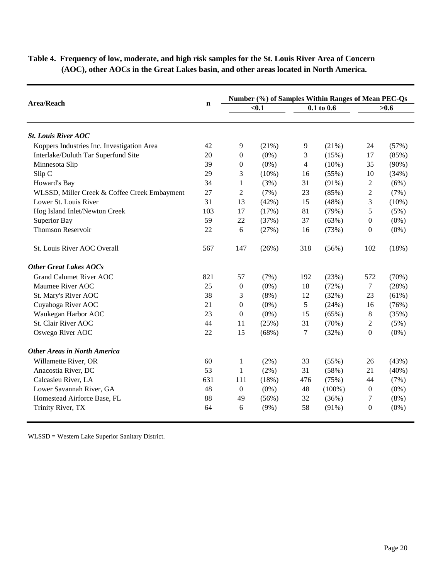|                                              |             | Number (%) of Samples Within Ranges of Mean PEC-Qs |          |                |           |                  |          |
|----------------------------------------------|-------------|----------------------------------------------------|----------|----------------|-----------|------------------|----------|
| <b>Area/Reach</b>                            | $\mathbf n$ | $0.1$                                              |          | $0.1$ to $0.6$ |           | >0.6             |          |
| <b>St. Louis River AOC</b>                   |             |                                                    |          |                |           |                  |          |
| Koppers Industries Inc. Investigation Area   | 42          | 9                                                  | (21%)    | 9              | (21%)     | 24               | (57%)    |
| Interlake/Duluth Tar Superfund Site          | 20          | $\theta$                                           | $(0\%)$  | 3              | (15%)     | 17               | (85%)    |
| Minnesota Slip                               | 39          | $\mathbf{0}$                                       | $(0\%)$  | $\overline{4}$ | $(10\%)$  | 35               | $(90\%)$ |
| Slip C                                       | 29          | 3                                                  | $(10\%)$ | 16             | (55%)     | 10               | (34%)    |
| Howard's Bay                                 | 34          | $\mathbf{1}$                                       | (3%)     | 31             | $(91\%)$  | $\overline{c}$   | (6%)     |
| WLSSD, Miller Creek & Coffee Creek Embayment | 27          | $\overline{c}$                                     | (7%)     | 23             | (85%)     | $\overline{2}$   | (7%)     |
| Lower St. Louis River                        | 31          | 13                                                 | (42%)    | 15             | (48%)     | $\mathfrak{Z}$   | $(10\%)$ |
| Hog Island Inlet/Newton Creek                | 103         | 17                                                 | (17%)    | 81             | (79%)     | 5                | (5%)     |
| <b>Superior Bay</b>                          | 59          | 22                                                 | (37%)    | 37             | (63%)     | $\overline{0}$   | $(0\%)$  |
| <b>Thomson Reservoir</b>                     | 22          | 6                                                  | (27%)    | 16             | (73%)     | $\boldsymbol{0}$ | $(0\%)$  |
| St. Louis River AOC Overall                  | 567         | 147                                                | (26%)    | 318            | (56%)     | 102              | (18%)    |
| <b>Other Great Lakes AOCs</b>                |             |                                                    |          |                |           |                  |          |
| <b>Grand Calumet River AOC</b>               | 821         | 57                                                 | (7%)     | 192            | (23%)     | 572              | (70%)    |
| Maumee River AOC                             | 25          | $\boldsymbol{0}$                                   | $(0\%)$  | 18             | (72%)     | 7                | (28%)    |
| St. Mary's River AOC                         | 38          | 3                                                  | (8%)     | 12             | (32%)     | 23               | (61%)    |
| Cuyahoga River AOC                           | 21          | $\boldsymbol{0}$                                   | $(0\%)$  | 5              | (24%)     | 16               | (76%)    |
| Waukegan Harbor AOC                          | 23          | $\overline{0}$                                     | $(0\%)$  | 15             | (65%)     | $8\,$            | (35%)    |
| St. Clair River AOC                          | 44          | 11                                                 | (25%)    | 31             | (70%)     | $\overline{c}$   | (5%)     |
| Oswego River AOC                             | 22          | 15                                                 | (68%)    | 7              | (32%)     | $\boldsymbol{0}$ | $(0\%)$  |
| <b>Other Areas in North America</b>          |             |                                                    |          |                |           |                  |          |
| Willamette River, OR                         | 60          | 1                                                  | $(2\%)$  | 33             | (55%)     | 26               | (43%)    |
| Anacostia River, DC                          | 53          | $\mathbf{1}$                                       | (2%)     | 31             | (58%)     | 21               | $(40\%)$ |
| Calcasieu River, LA                          | 631         | 111                                                | (18%)    | 476            | (75%)     | 44               | (7%)     |
| Lower Savannah River, GA                     | 48          | $\boldsymbol{0}$                                   | $(0\%)$  | 48             | $(100\%)$ | 0                | $(0\%)$  |
| Homestead Airforce Base, FL                  | 88          | 49                                                 | (56%)    | 32             | (36%)     | 7                | $(8\%)$  |
| Trinity River, TX                            | 64          | 6                                                  | $(9\%)$  | 58             | $(91\%)$  | $\overline{0}$   | $(0\%)$  |

**Table 4. Frequency of low, moderate, and high risk samples for the St. Louis River Area of Concern (AOC), other AOCs in the Great Lakes basin, and other areas located in North America.**

WLSSD = Western Lake Superior Sanitary District.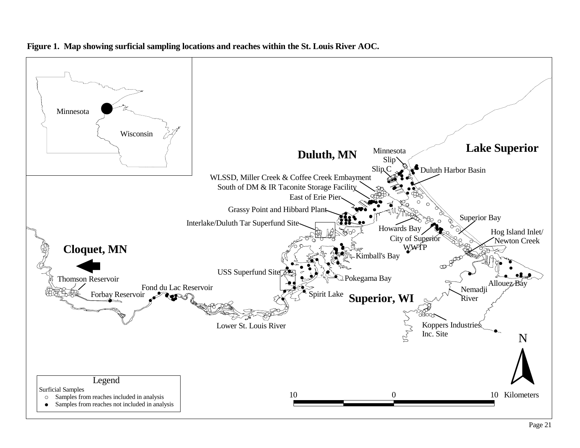

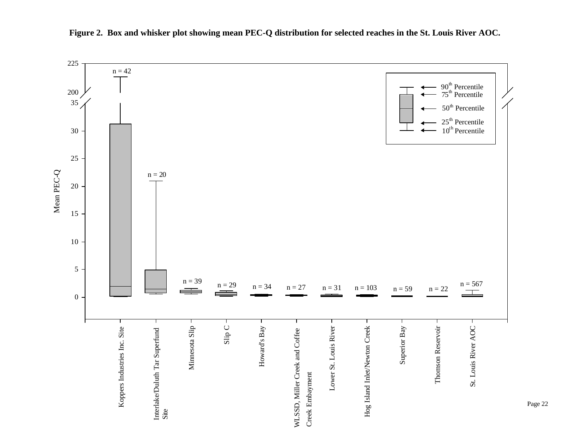

**Figure 2. Box and whisker plot showing mean PEC-Q distribution for selected reaches in the St. Louis River AOC.**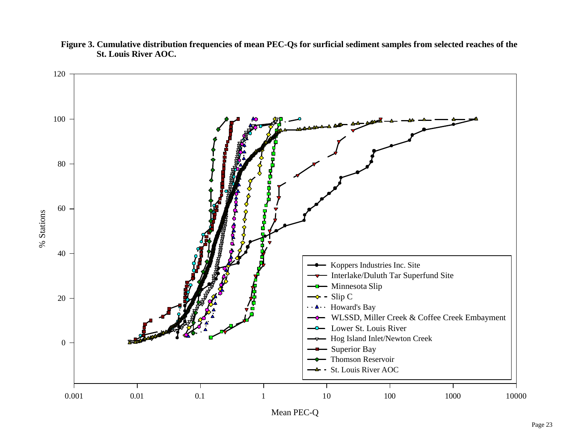

**Figure 3. Cumulative distribution frequencies of mean PEC-Qs for surficial sediment samples from selected reaches of the St. Louis River AOC.**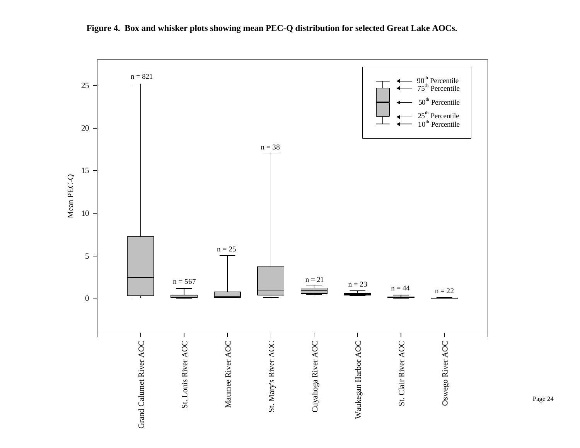

**Figure 4. Box and whisker plots showing mean PEC-Q distribution for selected Great Lake AOCs.**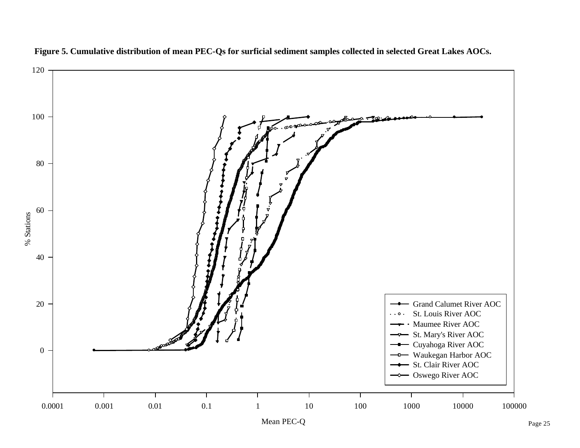

**Figure 5. Cumulative distribution of mean PEC-Qs for surficial sediment samples collected in selected Great Lakes AOCs.**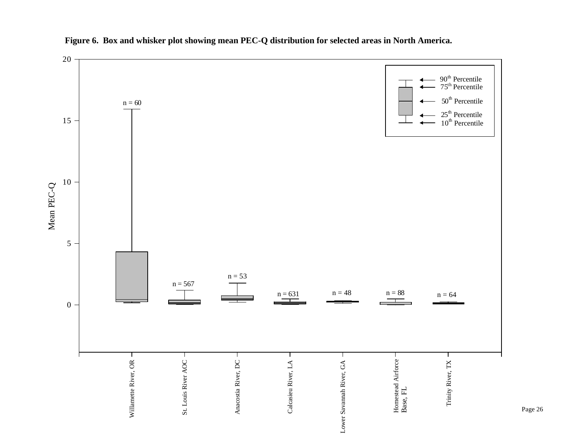